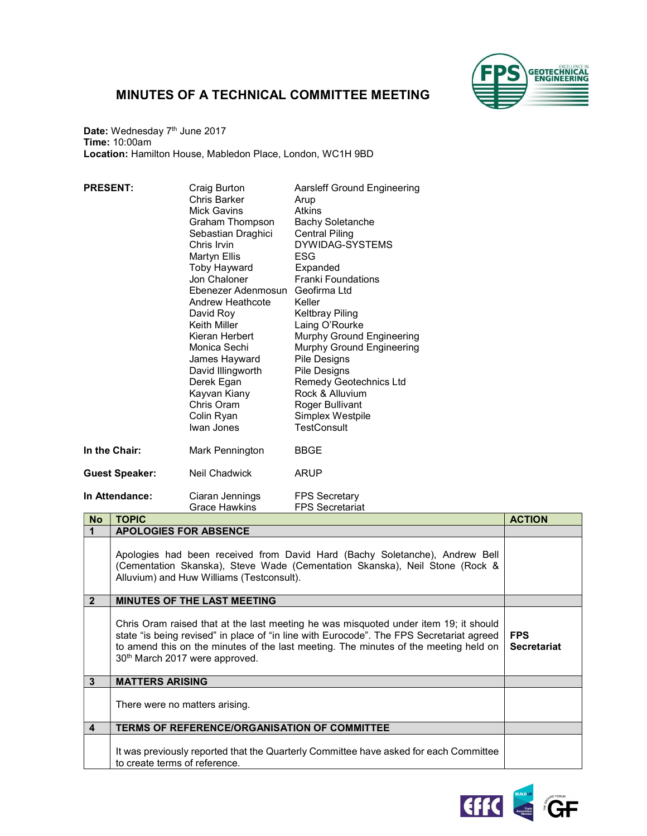

## MINUTES OF A TECHNICAL COMMITTEE MEETING

Date: Wednesday 7<sup>th</sup> June 2017 Time: 10:00am Location: Hamilton House, Mabledon Place, London, WC1H 9BD

| <b>PRESENT:</b>       | Craig Burton<br>Chris Barker<br>Mick Gavins<br>Graham Thompson<br>Sebastian Draghici<br>Chris Irvin<br>Martyn Ellis<br><b>Toby Hayward</b><br>Jon Chaloner<br>Ebenezer Adenmosun<br>Andrew Heathcote<br>David Roy<br>Keith Miller<br>Kieran Herbert<br>Monica Sechi<br>James Hayward<br>David Illingworth<br>Derek Egan<br>Kayvan Kiany<br>Chris Oram<br>Colin Ryan | Aarsleff Ground Engineering<br>Arup<br><b>Atkins</b><br><b>Bachy Soletanche</b><br><b>Central Piling</b><br>DYWIDAG-SYSTEMS<br>ESG<br>Expanded<br><b>Franki Foundations</b><br>Geofirma Ltd<br>Keller<br><b>Keltbray Piling</b><br>Laing O'Rourke<br>Murphy Ground Engineering<br>Murphy Ground Engineering<br>Pile Designs<br>Pile Designs<br><b>Remedy Geotechnics Ltd</b><br>Rock & Alluvium<br>Roger Bullivant<br>Simplex Westpile |
|-----------------------|---------------------------------------------------------------------------------------------------------------------------------------------------------------------------------------------------------------------------------------------------------------------------------------------------------------------------------------------------------------------|----------------------------------------------------------------------------------------------------------------------------------------------------------------------------------------------------------------------------------------------------------------------------------------------------------------------------------------------------------------------------------------------------------------------------------------|
|                       | Iwan Jones                                                                                                                                                                                                                                                                                                                                                          | <b>TestConsult</b>                                                                                                                                                                                                                                                                                                                                                                                                                     |
| In the Chair:         | Mark Pennington                                                                                                                                                                                                                                                                                                                                                     | <b>BBGE</b>                                                                                                                                                                                                                                                                                                                                                                                                                            |
| <b>Guest Speaker:</b> | Neil Chadwick                                                                                                                                                                                                                                                                                                                                                       | ARUP                                                                                                                                                                                                                                                                                                                                                                                                                                   |
| In Attendance:        | Ciaran Jennings<br>Grace Hawkins                                                                                                                                                                                                                                                                                                                                    | <b>FPS Secretary</b><br><b>FPS Secretariat</b>                                                                                                                                                                                                                                                                                                                                                                                         |

| <b>No</b>      | <b>TOPIC</b>                                                                                                                                                                                                                                                                                                           | <b>ACTION</b>                    |
|----------------|------------------------------------------------------------------------------------------------------------------------------------------------------------------------------------------------------------------------------------------------------------------------------------------------------------------------|----------------------------------|
|                | <b>APOLOGIES FOR ABSENCE</b>                                                                                                                                                                                                                                                                                           |                                  |
|                | Apologies had been received from David Hard (Bachy Soletanche), Andrew Bell<br>(Cementation Skanska), Steve Wade (Cementation Skanska), Neil Stone (Rock &<br>Alluvium) and Huw Williams (Testconsult).                                                                                                                |                                  |
| $\overline{2}$ | <b>MINUTES OF THE LAST MEETING</b>                                                                                                                                                                                                                                                                                     |                                  |
|                | Chris Oram raised that at the last meeting he was misquoted under item 19; it should<br>state "is being revised" in place of "in line with Eurocode". The FPS Secretariat agreed<br>to amend this on the minutes of the last meeting. The minutes of the meeting held on<br>30 <sup>th</sup> March 2017 were approved. | <b>FPS</b><br><b>Secretariat</b> |
| 3              | <b>MATTERS ARISING</b>                                                                                                                                                                                                                                                                                                 |                                  |
|                | There were no matters arising.                                                                                                                                                                                                                                                                                         |                                  |
| 4              | <b>TERMS OF REFERENCE/ORGANISATION OF COMMITTEE</b>                                                                                                                                                                                                                                                                    |                                  |
|                | It was previously reported that the Quarterly Committee have asked for each Committee<br>to create terms of reference.                                                                                                                                                                                                 |                                  |

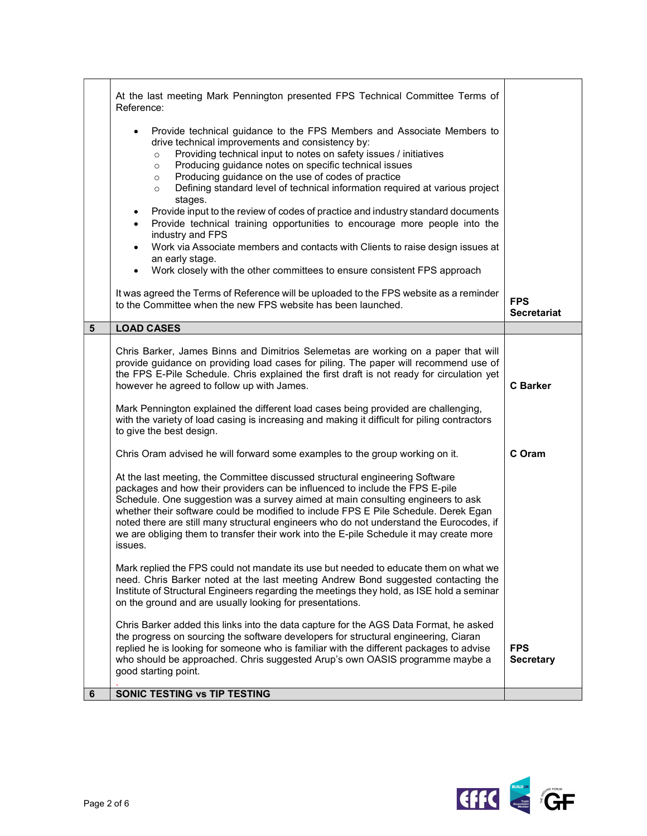|                | At the last meeting Mark Pennington presented FPS Technical Committee Terms of<br>Reference:                                                                                                                                                                                                                                                                                                                                                                                                                                                                                                                                                                                                                                                                                                                                                                                     |                                  |
|----------------|----------------------------------------------------------------------------------------------------------------------------------------------------------------------------------------------------------------------------------------------------------------------------------------------------------------------------------------------------------------------------------------------------------------------------------------------------------------------------------------------------------------------------------------------------------------------------------------------------------------------------------------------------------------------------------------------------------------------------------------------------------------------------------------------------------------------------------------------------------------------------------|----------------------------------|
|                | Provide technical guidance to the FPS Members and Associate Members to<br>drive technical improvements and consistency by:<br>Providing technical input to notes on safety issues / initiatives<br>$\circ$<br>Producing guidance notes on specific technical issues<br>$\circ$<br>Producing guidance on the use of codes of practice<br>$\circ$<br>Defining standard level of technical information required at various project<br>$\circ$<br>stages.<br>Provide input to the review of codes of practice and industry standard documents<br>$\bullet$<br>Provide technical training opportunities to encourage more people into the<br>$\bullet$<br>industry and FPS<br>Work via Associate members and contacts with Clients to raise design issues at<br>$\bullet$<br>an early stage.<br>Work closely with the other committees to ensure consistent FPS approach<br>$\bullet$ |                                  |
|                | It was agreed the Terms of Reference will be uploaded to the FPS website as a reminder<br>to the Committee when the new FPS website has been launched.                                                                                                                                                                                                                                                                                                                                                                                                                                                                                                                                                                                                                                                                                                                           | <b>FPS</b><br><b>Secretariat</b> |
| $5\phantom{1}$ | <b>LOAD CASES</b>                                                                                                                                                                                                                                                                                                                                                                                                                                                                                                                                                                                                                                                                                                                                                                                                                                                                |                                  |
|                | Chris Barker, James Binns and Dimitrios Selemetas are working on a paper that will<br>provide guidance on providing load cases for piling. The paper will recommend use of<br>the FPS E-Pile Schedule. Chris explained the first draft is not ready for circulation yet<br>however he agreed to follow up with James.<br>Mark Pennington explained the different load cases being provided are challenging,<br>with the variety of load casing is increasing and making it difficult for piling contractors                                                                                                                                                                                                                                                                                                                                                                      | <b>C</b> Barker                  |
|                | to give the best design.<br>Chris Oram advised he will forward some examples to the group working on it.                                                                                                                                                                                                                                                                                                                                                                                                                                                                                                                                                                                                                                                                                                                                                                         | C Oram                           |
|                | At the last meeting, the Committee discussed structural engineering Software<br>packages and how their providers can be influenced to include the FPS E-pile<br>Schedule. One suggestion was a survey aimed at main consulting engineers to ask<br>whether their software could be modified to include FPS E Pile Schedule. Derek Egan<br>noted there are still many structural engineers who do not understand the Eurocodes, if<br>we are obliging them to transfer their work into the E-pile Schedule it may create more<br>issues.                                                                                                                                                                                                                                                                                                                                          |                                  |
|                | Mark replied the FPS could not mandate its use but needed to educate them on what we<br>need. Chris Barker noted at the last meeting Andrew Bond suggested contacting the<br>Institute of Structural Engineers regarding the meetings they hold, as ISE hold a seminar<br>on the ground and are usually looking for presentations.                                                                                                                                                                                                                                                                                                                                                                                                                                                                                                                                               |                                  |
|                | Chris Barker added this links into the data capture for the AGS Data Format, he asked<br>the progress on sourcing the software developers for structural engineering, Ciaran<br>replied he is looking for someone who is familiar with the different packages to advise<br>who should be approached. Chris suggested Arup's own OASIS programme maybe a<br>good starting point.                                                                                                                                                                                                                                                                                                                                                                                                                                                                                                  | <b>FPS</b><br><b>Secretary</b>   |
| 6              | SONIC TESTING VS TIP TESTING                                                                                                                                                                                                                                                                                                                                                                                                                                                                                                                                                                                                                                                                                                                                                                                                                                                     |                                  |

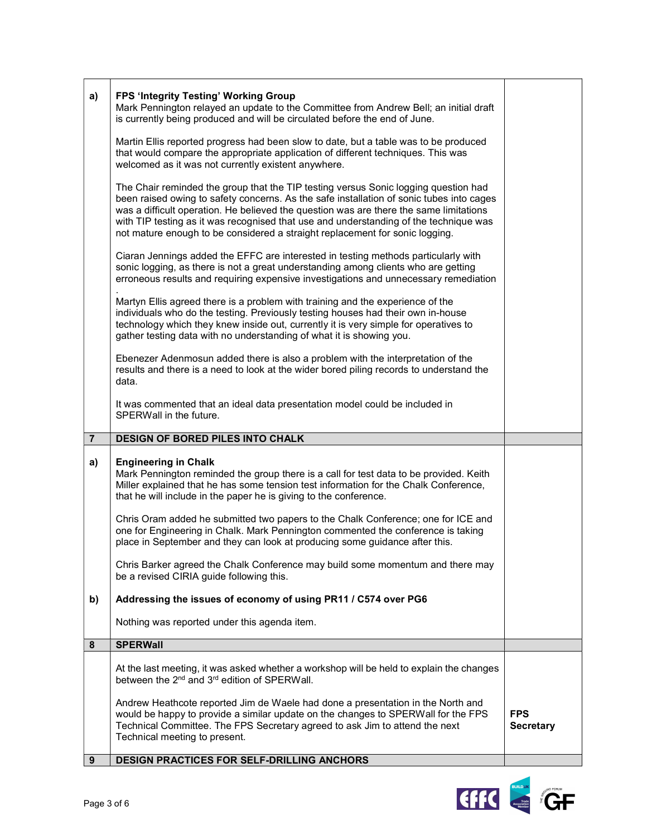| a)             | <b>FPS 'Integrity Testing' Working Group</b><br>Mark Pennington relayed an update to the Committee from Andrew Bell; an initial draft<br>is currently being produced and will be circulated before the end of June.<br>Martin Ellis reported progress had been slow to date, but a table was to be produced<br>that would compare the appropriate application of different techniques. This was<br>welcomed as it was not currently existent anywhere.<br>The Chair reminded the group that the TIP testing versus Sonic logging question had<br>been raised owing to safety concerns. As the safe installation of sonic tubes into cages<br>was a difficult operation. He believed the question was are there the same limitations<br>with TIP testing as it was recognised that use and understanding of the technique was<br>not mature enough to be considered a straight replacement for sonic logging.<br>Ciaran Jennings added the EFFC are interested in testing methods particularly with<br>sonic logging, as there is not a great understanding among clients who are getting<br>erroneous results and requiring expensive investigations and unnecessary remediation<br>Martyn Ellis agreed there is a problem with training and the experience of the<br>individuals who do the testing. Previously testing houses had their own in-house<br>technology which they knew inside out, currently it is very simple for operatives to<br>gather testing data with no understanding of what it is showing you.<br>Ebenezer Adenmosun added there is also a problem with the interpretation of the<br>results and there is a need to look at the wider bored piling records to understand the<br>data. |                                |
|----------------|---------------------------------------------------------------------------------------------------------------------------------------------------------------------------------------------------------------------------------------------------------------------------------------------------------------------------------------------------------------------------------------------------------------------------------------------------------------------------------------------------------------------------------------------------------------------------------------------------------------------------------------------------------------------------------------------------------------------------------------------------------------------------------------------------------------------------------------------------------------------------------------------------------------------------------------------------------------------------------------------------------------------------------------------------------------------------------------------------------------------------------------------------------------------------------------------------------------------------------------------------------------------------------------------------------------------------------------------------------------------------------------------------------------------------------------------------------------------------------------------------------------------------------------------------------------------------------------------------------------------------------------------------------------------------------------------------------------|--------------------------------|
|                | It was commented that an ideal data presentation model could be included in<br>SPERWall in the future.                                                                                                                                                                                                                                                                                                                                                                                                                                                                                                                                                                                                                                                                                                                                                                                                                                                                                                                                                                                                                                                                                                                                                                                                                                                                                                                                                                                                                                                                                                                                                                                                        |                                |
| $\overline{7}$ | <b>DESIGN OF BORED PILES INTO CHALK</b>                                                                                                                                                                                                                                                                                                                                                                                                                                                                                                                                                                                                                                                                                                                                                                                                                                                                                                                                                                                                                                                                                                                                                                                                                                                                                                                                                                                                                                                                                                                                                                                                                                                                       |                                |
| a)             | <b>Engineering in Chalk</b><br>Mark Pennington reminded the group there is a call for test data to be provided. Keith<br>Miller explained that he has some tension test information for the Chalk Conference,<br>that he will include in the paper he is giving to the conference.                                                                                                                                                                                                                                                                                                                                                                                                                                                                                                                                                                                                                                                                                                                                                                                                                                                                                                                                                                                                                                                                                                                                                                                                                                                                                                                                                                                                                            |                                |
|                | Chris Oram added he submitted two papers to the Chalk Conference; one for ICE and<br>one for Engineering in Chalk. Mark Pennington commented the conference is taking<br>place in September and they can look at producing some guidance after this.                                                                                                                                                                                                                                                                                                                                                                                                                                                                                                                                                                                                                                                                                                                                                                                                                                                                                                                                                                                                                                                                                                                                                                                                                                                                                                                                                                                                                                                          |                                |
|                | Chris Barker agreed the Chalk Conference may build some momentum and there may<br>be a revised CIRIA guide following this.                                                                                                                                                                                                                                                                                                                                                                                                                                                                                                                                                                                                                                                                                                                                                                                                                                                                                                                                                                                                                                                                                                                                                                                                                                                                                                                                                                                                                                                                                                                                                                                    |                                |
| b)             | Addressing the issues of economy of using PR11 / C574 over PG6                                                                                                                                                                                                                                                                                                                                                                                                                                                                                                                                                                                                                                                                                                                                                                                                                                                                                                                                                                                                                                                                                                                                                                                                                                                                                                                                                                                                                                                                                                                                                                                                                                                |                                |
|                | Nothing was reported under this agenda item.                                                                                                                                                                                                                                                                                                                                                                                                                                                                                                                                                                                                                                                                                                                                                                                                                                                                                                                                                                                                                                                                                                                                                                                                                                                                                                                                                                                                                                                                                                                                                                                                                                                                  |                                |
| 8              | <b>SPERWall</b>                                                                                                                                                                                                                                                                                                                                                                                                                                                                                                                                                                                                                                                                                                                                                                                                                                                                                                                                                                                                                                                                                                                                                                                                                                                                                                                                                                                                                                                                                                                                                                                                                                                                                               |                                |
|                | At the last meeting, it was asked whether a workshop will be held to explain the changes<br>between the 2 <sup>nd</sup> and 3 <sup>rd</sup> edition of SPERWall.                                                                                                                                                                                                                                                                                                                                                                                                                                                                                                                                                                                                                                                                                                                                                                                                                                                                                                                                                                                                                                                                                                                                                                                                                                                                                                                                                                                                                                                                                                                                              |                                |
|                | Andrew Heathcote reported Jim de Waele had done a presentation in the North and<br>would be happy to provide a similar update on the changes to SPERWall for the FPS<br>Technical Committee. The FPS Secretary agreed to ask Jim to attend the next<br>Technical meeting to present.                                                                                                                                                                                                                                                                                                                                                                                                                                                                                                                                                                                                                                                                                                                                                                                                                                                                                                                                                                                                                                                                                                                                                                                                                                                                                                                                                                                                                          | <b>FPS</b><br><b>Secretary</b> |
| 9              | <b>DESIGN PRACTICES FOR SELF-DRILLING ANCHORS</b>                                                                                                                                                                                                                                                                                                                                                                                                                                                                                                                                                                                                                                                                                                                                                                                                                                                                                                                                                                                                                                                                                                                                                                                                                                                                                                                                                                                                                                                                                                                                                                                                                                                             |                                |

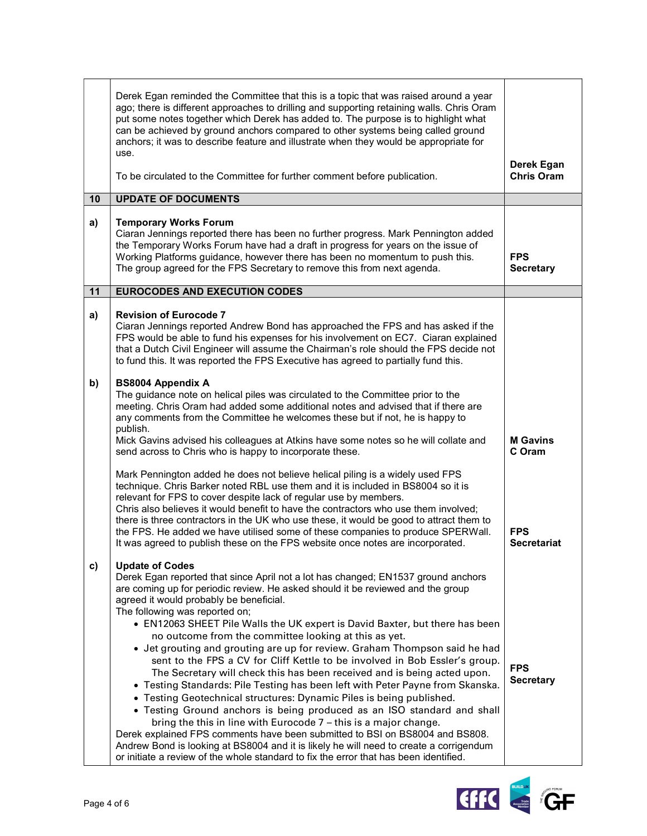|    | Derek Egan reminded the Committee that this is a topic that was raised around a year<br>ago; there is different approaches to drilling and supporting retaining walls. Chris Oram<br>put some notes together which Derek has added to. The purpose is to highlight what<br>can be achieved by ground anchors compared to other systems being called ground<br>anchors; it was to describe feature and illustrate when they would be appropriate for                                                                                                                                                                                                                                                                                                                                                                                                                                                                                                                                                                                                                                                                                                                                                                                       |                                  |
|----|-------------------------------------------------------------------------------------------------------------------------------------------------------------------------------------------------------------------------------------------------------------------------------------------------------------------------------------------------------------------------------------------------------------------------------------------------------------------------------------------------------------------------------------------------------------------------------------------------------------------------------------------------------------------------------------------------------------------------------------------------------------------------------------------------------------------------------------------------------------------------------------------------------------------------------------------------------------------------------------------------------------------------------------------------------------------------------------------------------------------------------------------------------------------------------------------------------------------------------------------|----------------------------------|
|    | use.<br>To be circulated to the Committee for further comment before publication.                                                                                                                                                                                                                                                                                                                                                                                                                                                                                                                                                                                                                                                                                                                                                                                                                                                                                                                                                                                                                                                                                                                                                         | Derek Egan<br><b>Chris Oram</b>  |
| 10 | <b>UPDATE OF DOCUMENTS</b>                                                                                                                                                                                                                                                                                                                                                                                                                                                                                                                                                                                                                                                                                                                                                                                                                                                                                                                                                                                                                                                                                                                                                                                                                |                                  |
| a) | <b>Temporary Works Forum</b><br>Ciaran Jennings reported there has been no further progress. Mark Pennington added<br>the Temporary Works Forum have had a draft in progress for years on the issue of<br>Working Platforms guidance, however there has been no momentum to push this.<br>The group agreed for the FPS Secretary to remove this from next agenda.                                                                                                                                                                                                                                                                                                                                                                                                                                                                                                                                                                                                                                                                                                                                                                                                                                                                         | <b>FPS</b><br><b>Secretary</b>   |
| 11 | <b>EUROCODES AND EXECUTION CODES</b>                                                                                                                                                                                                                                                                                                                                                                                                                                                                                                                                                                                                                                                                                                                                                                                                                                                                                                                                                                                                                                                                                                                                                                                                      |                                  |
| a) | <b>Revision of Eurocode 7</b><br>Ciaran Jennings reported Andrew Bond has approached the FPS and has asked if the<br>FPS would be able to fund his expenses for his involvement on EC7. Ciaran explained<br>that a Dutch Civil Engineer will assume the Chairman's role should the FPS decide not<br>to fund this. It was reported the FPS Executive has agreed to partially fund this.                                                                                                                                                                                                                                                                                                                                                                                                                                                                                                                                                                                                                                                                                                                                                                                                                                                   |                                  |
| b) | <b>BS8004 Appendix A</b><br>The guidance note on helical piles was circulated to the Committee prior to the<br>meeting. Chris Oram had added some additional notes and advised that if there are<br>any comments from the Committee he welcomes these but if not, he is happy to<br>publish.<br>Mick Gavins advised his colleagues at Atkins have some notes so he will collate and<br>send across to Chris who is happy to incorporate these.                                                                                                                                                                                                                                                                                                                                                                                                                                                                                                                                                                                                                                                                                                                                                                                            | <b>M</b> Gavins<br>C Oram        |
|    | Mark Pennington added he does not believe helical piling is a widely used FPS<br>technique. Chris Barker noted RBL use them and it is included in BS8004 so it is<br>relevant for FPS to cover despite lack of regular use by members.<br>Chris also believes it would benefit to have the contractors who use them involved;<br>there is three contractors in the UK who use these, it would be good to attract them to<br>the FPS. He added we have utilised some of these companies to produce SPERWall.<br>It was agreed to publish these on the FPS website once notes are incorporated.                                                                                                                                                                                                                                                                                                                                                                                                                                                                                                                                                                                                                                             | <b>FPS</b><br><b>Secretariat</b> |
| c) | <b>Update of Codes</b><br>Derek Egan reported that since April not a lot has changed; EN1537 ground anchors<br>are coming up for periodic review. He asked should it be reviewed and the group<br>agreed it would probably be beneficial.<br>The following was reported on;<br>• EN12063 SHEET Pile Walls the UK expert is David Baxter, but there has been<br>no outcome from the committee looking at this as yet.<br>• Jet grouting and grouting are up for review. Graham Thompson said he had<br>sent to the FPS a CV for Cliff Kettle to be involved in Bob Essler's group.<br>The Secretary will check this has been received and is being acted upon.<br>• Testing Standards: Pile Testing has been left with Peter Payne from Skanska.<br>• Testing Geotechnical structures: Dynamic Piles is being published.<br>• Testing Ground anchors is being produced as an ISO standard and shall<br>bring the this in line with Eurocode 7 - this is a major change.<br>Derek explained FPS comments have been submitted to BSI on BS8004 and BS808.<br>Andrew Bond is looking at BS8004 and it is likely he will need to create a corrigendum<br>or initiate a review of the whole standard to fix the error that has been identified. | <b>FPS</b><br><b>Secretary</b>   |

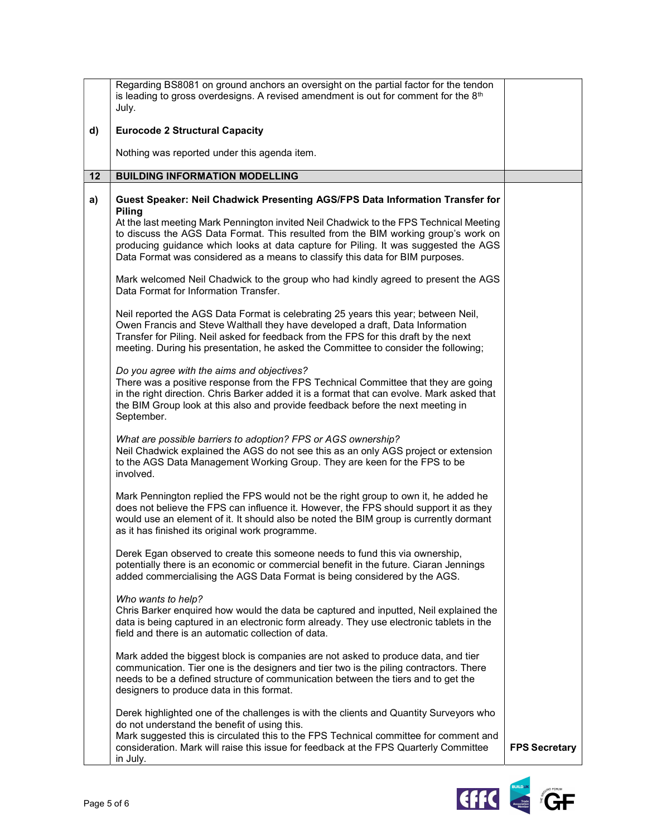|    | Regarding BS8081 on ground anchors an oversight on the partial factor for the tendon<br>is leading to gross overdesigns. A revised amendment is out for comment for the 8th<br>July.                                                                                                                                                                                                                                                                   |                      |
|----|--------------------------------------------------------------------------------------------------------------------------------------------------------------------------------------------------------------------------------------------------------------------------------------------------------------------------------------------------------------------------------------------------------------------------------------------------------|----------------------|
| d) | <b>Eurocode 2 Structural Capacity</b>                                                                                                                                                                                                                                                                                                                                                                                                                  |                      |
|    | Nothing was reported under this agenda item.                                                                                                                                                                                                                                                                                                                                                                                                           |                      |
| 12 | <b>BUILDING INFORMATION MODELLING</b>                                                                                                                                                                                                                                                                                                                                                                                                                  |                      |
| a) | Guest Speaker: Neil Chadwick Presenting AGS/FPS Data Information Transfer for<br><b>Piling</b><br>At the last meeting Mark Pennington invited Neil Chadwick to the FPS Technical Meeting<br>to discuss the AGS Data Format. This resulted from the BIM working group's work on<br>producing guidance which looks at data capture for Piling. It was suggested the AGS<br>Data Format was considered as a means to classify this data for BIM purposes. |                      |
|    | Mark welcomed Neil Chadwick to the group who had kindly agreed to present the AGS<br>Data Format for Information Transfer.                                                                                                                                                                                                                                                                                                                             |                      |
|    | Neil reported the AGS Data Format is celebrating 25 years this year; between Neil,<br>Owen Francis and Steve Walthall they have developed a draft, Data Information<br>Transfer for Piling. Neil asked for feedback from the FPS for this draft by the next<br>meeting. During his presentation, he asked the Committee to consider the following;                                                                                                     |                      |
|    | Do you agree with the aims and objectives?<br>There was a positive response from the FPS Technical Committee that they are going<br>in the right direction. Chris Barker added it is a format that can evolve. Mark asked that<br>the BIM Group look at this also and provide feedback before the next meeting in<br>September.                                                                                                                        |                      |
|    | What are possible barriers to adoption? FPS or AGS ownership?<br>Neil Chadwick explained the AGS do not see this as an only AGS project or extension<br>to the AGS Data Management Working Group. They are keen for the FPS to be<br>involved.                                                                                                                                                                                                         |                      |
|    | Mark Pennington replied the FPS would not be the right group to own it, he added he<br>does not believe the FPS can influence it. However, the FPS should support it as they<br>would use an element of it. It should also be noted the BIM group is currently dormant<br>as it has finished its original work programme.                                                                                                                              |                      |
|    | Derek Egan observed to create this someone needs to fund this via ownership,<br>potentially there is an economic or commercial benefit in the future. Ciaran Jennings<br>added commercialising the AGS Data Format is being considered by the AGS.                                                                                                                                                                                                     |                      |
|    | Who wants to help?<br>Chris Barker enquired how would the data be captured and inputted, Neil explained the<br>data is being captured in an electronic form already. They use electronic tablets in the<br>field and there is an automatic collection of data.                                                                                                                                                                                         |                      |
|    | Mark added the biggest block is companies are not asked to produce data, and tier<br>communication. Tier one is the designers and tier two is the piling contractors. There<br>needs to be a defined structure of communication between the tiers and to get the<br>designers to produce data in this format.                                                                                                                                          |                      |
|    | Derek highlighted one of the challenges is with the clients and Quantity Surveyors who<br>do not understand the benefit of using this.<br>Mark suggested this is circulated this to the FPS Technical committee for comment and<br>consideration. Mark will raise this issue for feedback at the FPS Quarterly Committee<br>in July.                                                                                                                   | <b>FPS Secretary</b> |